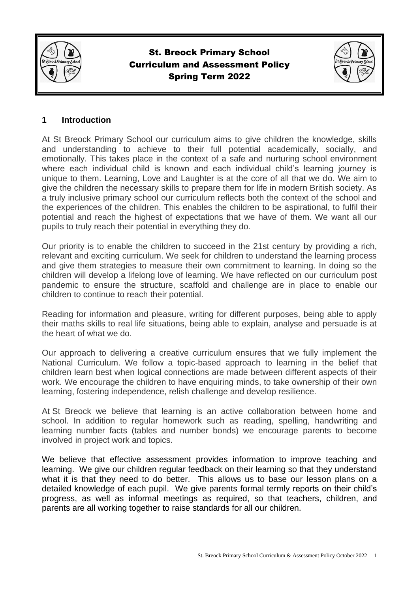

# St. Breock Primary School Curriculum and Assessment Policy Spring Term 2022



#### **1 Introduction**

At St Breock Primary School our curriculum aims to give children the knowledge, skills and understanding to achieve to their full potential academically, socially, and emotionally. This takes place in the context of a safe and nurturing school environment where each individual child is known and each individual child's learning journey is unique to them. Learning, Love and Laughter is at the core of all that we do. We aim to give the children the necessary skills to prepare them for life in modern British society. As a truly inclusive primary school our curriculum reflects both the context of the school and the experiences of the children. This enables the children to be aspirational, to fulfil their potential and reach the highest of expectations that we have of them. We want all our pupils to truly reach their potential in everything they do.

Our priority is to enable the children to succeed in the 21st century by providing a rich, relevant and exciting curriculum. We seek for children to understand the learning process and give them strategies to measure their own commitment to learning. In doing so the children will develop a lifelong love of learning. We have reflected on our curriculum post pandemic to ensure the structure, scaffold and challenge are in place to enable our children to continue to reach their potential.

Reading for information and pleasure, writing for different purposes, being able to apply their maths skills to real life situations, being able to explain, analyse and persuade is at the heart of what we do.

Our approach to delivering a creative curriculum ensures that we fully implement the National Curriculum. We follow a topic-based approach to learning in the belief that children learn best when logical connections are made between different aspects of their work. We encourage the children to have enquiring minds, to take ownership of their own learning, fostering independence, relish challenge and develop resilience.

At St Breock we believe that learning is an active collaboration between home and school. In addition to regular homework such as reading, spelling, handwriting and learning number facts (tables and number bonds) we encourage parents to become involved in project work and topics.

We believe that effective assessment provides information to improve teaching and learning. We give our children regular feedback on their learning so that they understand what it is that they need to do better. This allows us to base our lesson plans on a detailed knowledge of each pupil. We give parents formal termly reports on their child's progress, as well as informal meetings as required, so that teachers, children, and parents are all working together to raise standards for all our children.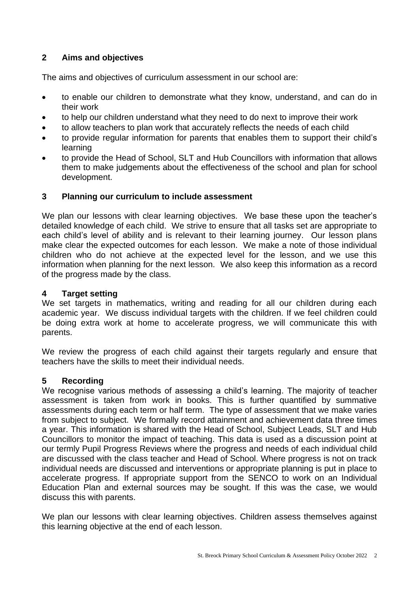### **2 Aims and objectives**

The aims and objectives of curriculum assessment in our school are:

- to enable our children to demonstrate what they know, understand, and can do in their work
- to help our children understand what they need to do next to improve their work
- to allow teachers to plan work that accurately reflects the needs of each child
- to provide regular information for parents that enables them to support their child's learning
- to provide the Head of School, SLT and Hub Councillors with information that allows them to make judgements about the effectiveness of the school and plan for school development.

#### **3 Planning our curriculum to include assessment**

We plan our lessons with clear learning objectives. We base these upon the teacher's detailed knowledge of each child. We strive to ensure that all tasks set are appropriate to each child's level of ability and is relevant to their learning journey. Our lesson plans make clear the expected outcomes for each lesson. We make a note of those individual children who do not achieve at the expected level for the lesson, and we use this information when planning for the next lesson. We also keep this information as a record of the progress made by the class.

#### **4 Target setting**

We set targets in mathematics, writing and reading for all our children during each academic year. We discuss individual targets with the children. If we feel children could be doing extra work at home to accelerate progress, we will communicate this with parents.

We review the progress of each child against their targets regularly and ensure that teachers have the skills to meet their individual needs.

### **5 Recording**

We recognise various methods of assessing a child's learning. The majority of teacher assessment is taken from work in books. This is further quantified by summative assessments during each term or half term. The type of assessment that we make varies from subject to subject. We formally record attainment and achievement data three times a year. This information is shared with the Head of School, Subject Leads, SLT and Hub Councillors to monitor the impact of teaching. This data is used as a discussion point at our termly Pupil Progress Reviews where the progress and needs of each individual child are discussed with the class teacher and Head of School. Where progress is not on track individual needs are discussed and interventions or appropriate planning is put in place to accelerate progress. If appropriate support from the SENCO to work on an Individual Education Plan and external sources may be sought. If this was the case, we would discuss this with parents.

We plan our lessons with clear learning objectives. Children assess themselves against this learning objective at the end of each lesson.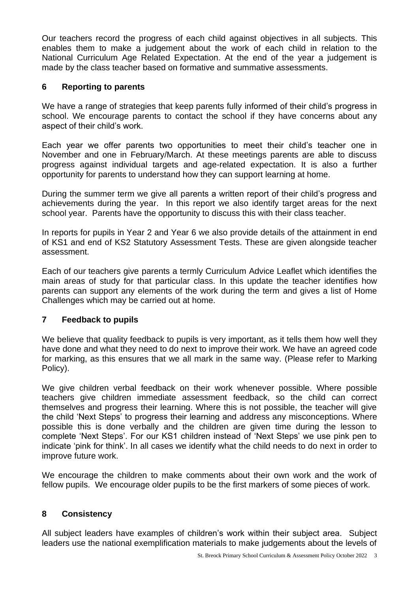Our teachers record the progress of each child against objectives in all subjects. This enables them to make a judgement about the work of each child in relation to the National Curriculum Age Related Expectation. At the end of the year a judgement is made by the class teacher based on formative and summative assessments.

### **6 Reporting to parents**

We have a range of strategies that keep parents fully informed of their child's progress in school. We encourage parents to contact the school if they have concerns about any aspect of their child's work.

Each year we offer parents two opportunities to meet their child's teacher one in November and one in February/March. At these meetings parents are able to discuss progress against individual targets and age-related expectation. It is also a further opportunity for parents to understand how they can support learning at home.

During the summer term we give all parents a written report of their child's progress and achievements during the year. In this report we also identify target areas for the next school year. Parents have the opportunity to discuss this with their class teacher.

In reports for pupils in Year 2 and Year 6 we also provide details of the attainment in end of KS1 and end of KS2 Statutory Assessment Tests. These are given alongside teacher assessment.

Each of our teachers give parents a termly Curriculum Advice Leaflet which identifies the main areas of study for that particular class. In this update the teacher identifies how parents can support any elements of the work during the term and gives a list of Home Challenges which may be carried out at home.

### **7 Feedback to pupils**

We believe that quality feedback to pupils is very important, as it tells them how well they have done and what they need to do next to improve their work. We have an agreed code for marking, as this ensures that we all mark in the same way. (Please refer to Marking Policy).

We give children verbal feedback on their work whenever possible. Where possible teachers give children immediate assessment feedback, so the child can correct themselves and progress their learning. Where this is not possible, the teacher will give the child 'Next Steps' to progress their learning and address any misconceptions. Where possible this is done verbally and the children are given time during the lesson to complete 'Next Steps'. For our KS1 children instead of 'Next Steps' we use pink pen to indicate 'pink for think'. In all cases we identify what the child needs to do next in order to improve future work.

We encourage the children to make comments about their own work and the work of fellow pupils. We encourage older pupils to be the first markers of some pieces of work.

## **8 Consistency**

All subject leaders have examples of children's work within their subject area. Subject leaders use the national exemplification materials to make judgements about the levels of